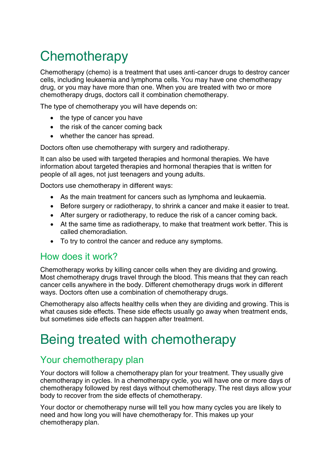# **Chemotherapy**

Chemotherapy (chemo) is a treatment that uses anti-cancer drugs to destroy cancer cells, including leukaemia and lymphoma cells. You may have one chemotherapy drug, or you may have more than one. When you are treated with two or more chemotherapy drugs, doctors call it combination chemotherapy.

The type of chemotherapy you will have depends on:

- the type of cancer you have
- the risk of the cancer coming back
- whether the cancer has spread.

Doctors often use chemotherapy with surgery and radiotherapy.

It can also be used with targeted therapies and hormonal therapies. We have information about targeted therapies and hormonal therapies that is written for people of all ages, not just teenagers and young adults.

Doctors use chemotherapy in different ways:

- As the main treatment for cancers such as lymphoma and leukaemia.
- Before surgery or radiotherapy, to shrink a cancer and make it easier to treat.
- After surgery or radiotherapy, to reduce the risk of a cancer coming back.
- At the same time as radiotherapy, to make that treatment work better. This is called chemoradiation.
- To try to control the cancer and reduce any symptoms.

### How does it work?

Chemotherapy works by killing cancer cells when they are dividing and growing. Most chemotherapy drugs travel through the blood. This means that they can reach cancer cells anywhere in the body. Different chemotherapy drugs work in different ways. Doctors often use a combination of chemotherapy drugs.

Chemotherapy also affects healthy cells when they are dividing and growing. This is what causes side effects. These side effects usually go away when treatment ends, but sometimes side effects can happen after treatment.

# Being treated with chemotherapy

### Your chemotherapy plan

Your doctors will follow a chemotherapy plan for your treatment. They usually give chemotherapy in cycles. In a chemotherapy cycle, you will have one or more days of chemotherapy followed by rest days without chemotherapy. The rest days allow your body to recover from the side effects of chemotherapy.

Your doctor or chemotherapy nurse will tell you how many cycles you are likely to need and how long you will have chemotherapy for. This makes up your chemotherapy plan.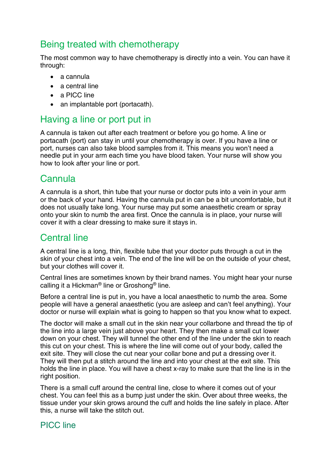# Being treated with chemotherapy

The most common way to have chemotherapy is directly into a vein. You can have it through:

- a cannula
- a central line
- a PICC line
- an implantable port (portacath).

# Having a line or port put in

A cannula is taken out after each treatment or before you go home. A line or portacath (port) can stay in until your chemotherapy is over. If you have a line or port, nurses can also take blood samples from it. This means you won't need a needle put in your arm each time you have blood taken. Your nurse will show you how to look after your line or port.

# **Cannula**

A cannula is a short, thin tube that your nurse or doctor puts into a vein in your arm or the back of your hand. Having the cannula put in can be a bit uncomfortable, but it does not usually take long. Your nurse may put some anaesthetic cream or spray onto your skin to numb the area first. Once the cannula is in place, your nurse will cover it with a clear dressing to make sure it stays in.

# Central line

A central line is a long, thin, flexible tube that your doctor puts through a cut in the skin of your chest into a vein. The end of the line will be on the outside of your chest, but your clothes will cover it.

Central lines are sometimes known by their brand names. You might hear your nurse calling it a Hickman® line or Groshong® line.

Before a central line is put in, you have a local anaesthetic to numb the area. Some people will have a general anaesthetic (you are asleep and can't feel anything). Your doctor or nurse will explain what is going to happen so that you know what to expect.

The doctor will make a small cut in the skin near your collarbone and thread the tip of the line into a large vein just above your heart. They then make a small cut lower down on your chest. They will tunnel the other end of the line under the skin to reach this cut on your chest. This is where the line will come out of your body, called the exit site. They will close the cut near your collar bone and put a dressing over it. They will then put a stitch around the line and into your chest at the exit site. This holds the line in place. You will have a chest x-ray to make sure that the line is in the right position.

There is a small cuff around the central line, close to where it comes out of your chest. You can feel this as a bump just under the skin. Over about three weeks, the tissue under your skin grows around the cuff and holds the line safely in place. After this, a nurse will take the stitch out.

### PICC line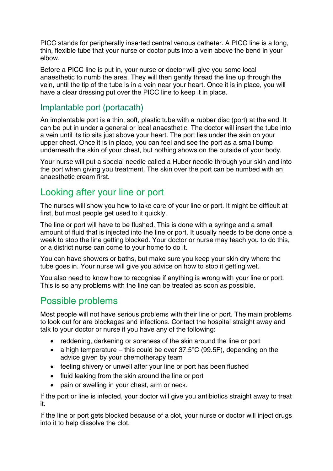PICC stands for peripherally inserted central venous catheter. A PICC line is a long, thin, flexible tube that your nurse or doctor puts into a vein above the bend in your elbow.

Before a PICC line is put in, your nurse or doctor will give you some local anaesthetic to numb the area. They will then gently thread the line up through the vein, until the tip of the tube is in a vein near your heart. Once it is in place, you will have a clear dressing put over the PICC line to keep it in place.

### Implantable port (portacath)

An implantable port is a thin, soft, plastic tube with a rubber disc (port) at the end. It can be put in under a general or local anaesthetic. The doctor will insert the tube into a vein until its tip sits just above your heart. The port lies under the skin on your upper chest. Once it is in place, you can feel and see the port as a small bump underneath the skin of your chest, but nothing shows on the outside of your body.

Your nurse will put a special needle called a Huber needle through your skin and into the port when giving you treatment. The skin over the port can be numbed with an anaesthetic cream first.

### Looking after your line or port

The nurses will show you how to take care of your line or port. It might be difficult at first, but most people get used to it quickly.

The line or port will have to be flushed. This is done with a syringe and a small amount of fluid that is injected into the line or port. It usually needs to be done once a week to stop the line getting blocked. Your doctor or nurse may teach you to do this, or a district nurse can come to your home to do it.

You can have showers or baths, but make sure you keep your skin dry where the tube goes in. Your nurse will give you advice on how to stop it getting wet.

You also need to know how to recognise if anything is wrong with your line or port. This is so any problems with the line can be treated as soon as possible.

### Possible problems

Most people will not have serious problems with their line or port. The main problems to look out for are blockages and infections. Contact the hospital straight away and talk to your doctor or nurse if you have any of the following:

- reddening, darkening or soreness of the skin around the line or port
- a high temperature this could be over  $37.5^{\circ}$ C (99.5F), depending on the advice given by your chemotherapy team
- feeling shivery or unwell after your line or port has been flushed
- fluid leaking from the skin around the line or port
- pain or swelling in your chest, arm or neck.

If the port or line is infected, your doctor will give you antibiotics straight away to treat it.

If the line or port gets blocked because of a clot, your nurse or doctor will inject drugs into it to help dissolve the clot.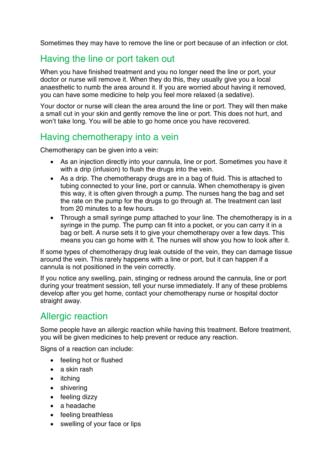Sometimes they may have to remove the line or port because of an infection or clot.

### Having the line or port taken out

When you have finished treatment and you no longer need the line or port, your doctor or nurse will remove it. When they do this, they usually give you a local anaesthetic to numb the area around it. If you are worried about having it removed, you can have some medicine to help you feel more relaxed (a sedative).

Your doctor or nurse will clean the area around the line or port. They will then make a small cut in your skin and gently remove the line or port. This does not hurt, and won't take long. You will be able to go home once you have recovered.

### Having chemotherapy into a vein

Chemotherapy can be given into a vein:

- As an injection directly into your cannula, line or port. Sometimes you have it with a drip (infusion) to flush the drugs into the vein.
- As a drip. The chemotherapy drugs are in a bag of fluid. This is attached to tubing connected to your line, port or cannula. When chemotherapy is given this way, it is often given through a pump. The nurses hang the bag and set the rate on the pump for the drugs to go through at. The treatment can last from 20 minutes to a few hours.
- Through a small syringe pump attached to your line. The chemotherapy is in a syringe in the pump. The pump can fit into a pocket, or you can carry it in a bag or belt. A nurse sets it to give your chemotherapy over a few days. This means you can go home with it. The nurses will show you how to look after it.

If some types of chemotherapy drug leak outside of the vein, they can damage tissue around the vein. This rarely happens with a line or port, but it can happen if a cannula is not positioned in the vein correctly.

If you notice any swelling, pain, stinging or redness around the cannula, line or port during your treatment session, tell your nurse immediately. If any of these problems develop after you get home, contact your chemotherapy nurse or hospital doctor straight away.

### Allergic reaction

Some people have an allergic reaction while having this treatment. Before treatment, you will be given medicines to help prevent or reduce any reaction.

Signs of a reaction can include:

- feeling hot or flushed
- a skin rash
- itching
- shivering
- feeling dizzy
- a headache
- feeling breathless
- swelling of your face or lips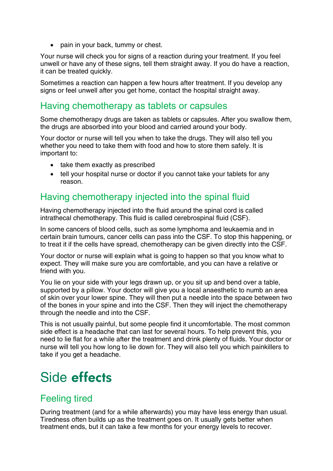• pain in your back, tummy or chest.

Your nurse will check you for signs of a reaction during your treatment. If you feel unwell or have any of these signs, tell them straight away. If you do have a reaction, it can be treated quickly.

Sometimes a reaction can happen a few hours after treatment. If you develop any signs or feel unwell after you get home, contact the hospital straight away.

### Having chemotherapy as tablets or capsules

Some chemotherapy drugs are taken as tablets or capsules. After you swallow them, the drugs are absorbed into your blood and carried around your body.

Your doctor or nurse will tell you when to take the drugs. They will also tell you whether you need to take them with food and how to store them safely. It is important to:

- take them exactly as prescribed
- tell your hospital nurse or doctor if you cannot take your tablets for any reason.

### Having chemotherapy injected into the spinal fluid

Having chemotherapy injected into the fluid around the spinal cord is called intrathecal chemotherapy. This fluid is called cerebrospinal fluid (CSF).

In some cancers of blood cells, such as some lymphoma and leukaemia and in certain brain tumours, cancer cells can pass into the CSF. To stop this happening, or to treat it if the cells have spread, chemotherapy can be given directly into the CSF.

Your doctor or nurse will explain what is going to happen so that you know what to expect. They will make sure you are comfortable, and you can have a relative or friend with you.

You lie on your side with your legs drawn up, or you sit up and bend over a table, supported by a pillow. Your doctor will give you a local anaesthetic to numb an area of skin over your lower spine. They will then put a needle into the space between two of the bones in your spine and into the CSF. Then they will inject the chemotherapy through the needle and into the CSF.

This is not usually painful, but some people find it uncomfortable. The most common side effect is a headache that can last for several hours. To help prevent this, you need to lie flat for a while after the treatment and drink plenty of fluids. Your doctor or nurse will tell you how long to lie down for. They will also tell you which painkillers to take if you get a headache.

# Side effects

### Feeling tired

During treatment (and for a while afterwards) you may have less energy than usual. Tiredness often builds up as the treatment goes on. It usually gets better when treatment ends, but it can take a few months for your energy levels to recover.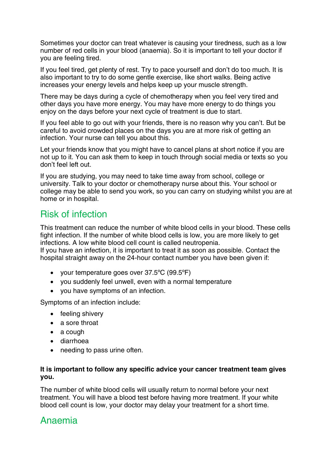Sometimes your doctor can treat whatever is causing your tiredness, such as a low number of red cells in your blood (anaemia). So it is important to tell your doctor if you are feeling tired.

If you feel tired, get plenty of rest. Try to pace yourself and don't do too much. It is also important to try to do some gentle exercise, like short walks. Being active increases your energy levels and helps keep up your muscle strength.

There may be days during a cycle of chemotherapy when you feel very tired and other days you have more energy. You may have more energy to do things you enjoy on the days before your next cycle of treatment is due to start.

If you feel able to go out with your friends, there is no reason why you can't. But be careful to avoid crowded places on the days you are at more risk of getting an infection. Your nurse can tell you about this.

Let your friends know that you might have to cancel plans at short notice if you are not up to it. You can ask them to keep in touch through social media or texts so you don't feel left out.

If you are studying, you may need to take time away from school, college or university. Talk to your doctor or chemotherapy nurse about this. Your school or college may be able to send you work, so you can carry on studying whilst you are at home or in hospital.

### Risk of infection

This treatment can reduce the number of white blood cells in your blood. These cells fight infection. If the number of white blood cells is low, you are more likely to get infections. A low white blood cell count is called neutropenia.

If you have an infection, it is important to treat it as soon as possible. Contact the hospital straight away on the 24-hour contact number you have been given if:

- your temperature goes over 37.5ºC (99.5ºF)
- you suddenly feel unwell, even with a normal temperature
- you have symptoms of an infection.

Symptoms of an infection include:

- feeling shivery
- a sore throat
- a cough
- diarrhoea
- needing to pass urine often.

#### **It is important to follow any specific advice your cancer treatment team gives you.**

The number of white blood cells will usually return to normal before your next treatment. You will have a blood test before having more treatment. If your white blood cell count is low, your doctor may delay your treatment for a short time.

# Anaemia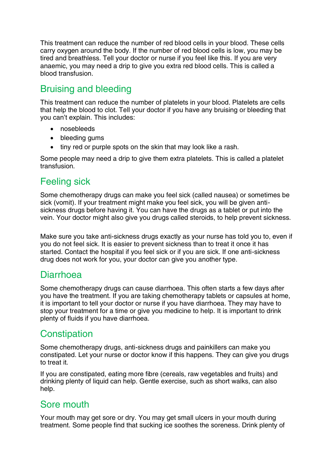This treatment can reduce the number of red blood cells in your blood. These cells carry oxygen around the body. If the number of red blood cells is low, you may be tired and breathless. Tell your doctor or nurse if you feel like this. If you are very anaemic, you may need a drip to give you extra red blood cells. This is called a blood transfusion.

# Bruising and bleeding

This treatment can reduce the number of platelets in your blood. Platelets are cells that help the blood to clot. Tell your doctor if you have any bruising or bleeding that you can't explain. This includes:

- nosebleeds
- bleeding gums
- tiny red or purple spots on the skin that may look like a rash.

Some people may need a drip to give them extra platelets. This is called a platelet transfusion.

# Feeling sick

Some chemotherapy drugs can make you feel sick (called nausea) or sometimes be sick (vomit). If your treatment might make you feel sick, you will be given antisickness drugs before having it. You can have the drugs as a tablet or put into the vein. Your doctor might also give you drugs called steroids, to help prevent sickness.

Make sure you take anti-sickness drugs exactly as your nurse has told you to, even if you do not feel sick. It is easier to prevent sickness than to treat it once it has started. Contact the hospital if you feel sick or if you are sick. If one anti-sickness drug does not work for you, your doctor can give you another type.

### Diarrhoea

Some chemotherapy drugs can cause diarrhoea. This often starts a few days after you have the treatment. If you are taking chemotherapy tablets or capsules at home, it is important to tell your doctor or nurse if you have diarrhoea. They may have to stop your treatment for a time or give you medicine to help. It is important to drink plenty of fluids if you have diarrhoea.

# **Constipation**

Some chemotherapy drugs, anti-sickness drugs and painkillers can make you constipated. Let your nurse or doctor know if this happens. They can give you drugs to treat it.

If you are constipated, eating more fibre (cereals, raw vegetables and fruits) and drinking plenty of liquid can help. Gentle exercise, such as short walks, can also help.

### Sore mouth

Your mouth may get sore or dry. You may get small ulcers in your mouth during treatment. Some people find that sucking ice soothes the soreness. Drink plenty of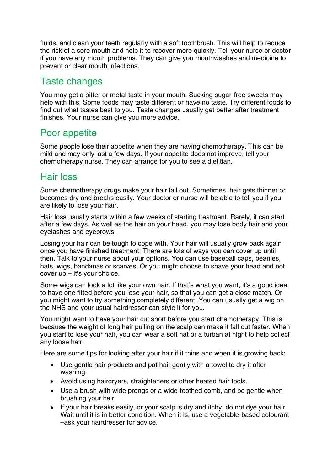fluids, and clean your teeth regularly with a soft toothbrush. This will help to reduce the risk of a sore mouth and help it to recover more quickly. Tell your nurse or doctor if you have any mouth problems. They can give you mouthwashes and medicine to prevent or clear mouth infections.

# Taste changes

You may get a bitter or metal taste in your mouth. Sucking sugar-free sweets may help with this. Some foods may taste different or have no taste. Try different foods to find out what tastes best to you. Taste changes usually get better after treatment finishes. Your nurse can give you more advice.

# Poor appetite

Some people lose their appetite when they are having chemotherapy. This can be mild and may only last a few days. If your appetite does not improve, tell your chemotherapy nurse. They can arrange for you to see a dietitian.

# Hair loss

Some chemotherapy drugs make your hair fall out. Sometimes, hair gets thinner or becomes dry and breaks easily. Your doctor or nurse will be able to tell you if you are likely to lose your hair.

Hair loss usually starts within a few weeks of starting treatment. Rarely, it can start after a few days. As well as the hair on your head, you may lose body hair and your eyelashes and eyebrows.

Losing your hair can be tough to cope with. Your hair will usually grow back again once you have finished treatment. There are lots of ways you can cover up until then. Talk to your nurse about your options. You can use baseball caps, beanies, hats, wigs, bandanas or scarves. Or you might choose to shave your head and not cover up – it's your choice.

Some wigs can look a lot like your own hair. If that's what you want, it's a good idea to have one fitted before you lose your hair, so that you can get a close match. Or you might want to try something completely different. You can usually get a wig on the NHS and your usual hairdresser can style it for you.

You might want to have your hair cut short before you start chemotherapy. This is because the weight of long hair pulling on the scalp can make it fall out faster. When you start to lose your hair, you can wear a soft hat or a turban at night to help collect any loose hair.

Here are some tips for looking after your hair if it thins and when it is growing back:

- Use gentle hair products and pat hair gently with a towel to dry it after washing.
- Avoid using hairdryers, straighteners or other heated hair tools.
- Use a brush with wide prongs or a wide-toothed comb, and be gentle when brushing your hair.
- If your hair breaks easily, or your scalp is dry and itchy, do not dye your hair. Wait until it is in better condition. When it is, use a vegetable-based colourant –ask your hairdresser for advice.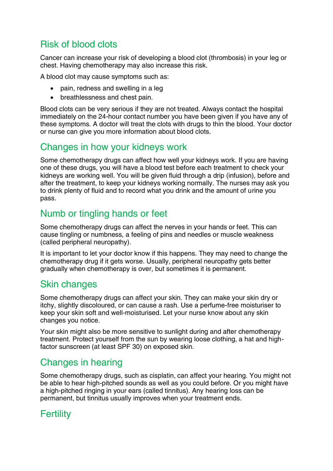# Risk of blood clots

Cancer can increase your risk of developing a blood clot (thrombosis) in your leg or chest. Having chemotherapy may also increase this risk.

A blood clot may cause symptoms such as:

- pain, redness and swelling in a leg
- breathlessness and chest pain.

Blood clots can be very serious if they are not treated. Always contact the hospital immediately on the 24-hour contact number you have been given if you have any of these symptoms. A doctor will treat the clots with drugs to thin the blood. Your doctor or nurse can give you more information about blood clots.

### Changes in how your kidneys work

Some chemotherapy drugs can affect how well your kidneys work. If you are having one of these drugs, you will have a blood test before each treatment to check your kidneys are working well. You will be given fluid through a drip (infusion), before and after the treatment, to keep your kidneys working normally. The nurses may ask you to drink plenty of fluid and to record what you drink and the amount of urine you pass.

# Numb or tingling hands or feet

Some chemotherapy drugs can affect the nerves in your hands or feet. This can cause tingling or numbness, a feeling of pins and needles or muscle weakness (called peripheral neuropathy).

It is important to let your doctor know if this happens. They may need to change the chemotherapy drug if it gets worse. Usually, peripheral neuropathy gets better gradually when chemotherapy is over, but sometimes it is permanent.

### Skin changes

Some chemotherapy drugs can affect your skin. They can make your skin dry or itchy, slightly discoloured, or can cause a rash. Use a perfume-free moisturiser to keep your skin soft and well-moisturised. Let your nurse know about any skin changes you notice.

Your skin might also be more sensitive to sunlight during and after chemotherapy treatment. Protect yourself from the sun by wearing loose clothing, a hat and highfactor sunscreen (at least SPF 30) on exposed skin.

# Changes in hearing

Some chemotherapy drugs, such as cisplatin, can affect your hearing. You might not be able to hear high-pitched sounds as well as you could before. Or you might have a high-pitched ringing in your ears (called tinnitus). Any hearing loss can be permanent, but tinnitus usually improves when your treatment ends.

# **Fertility**